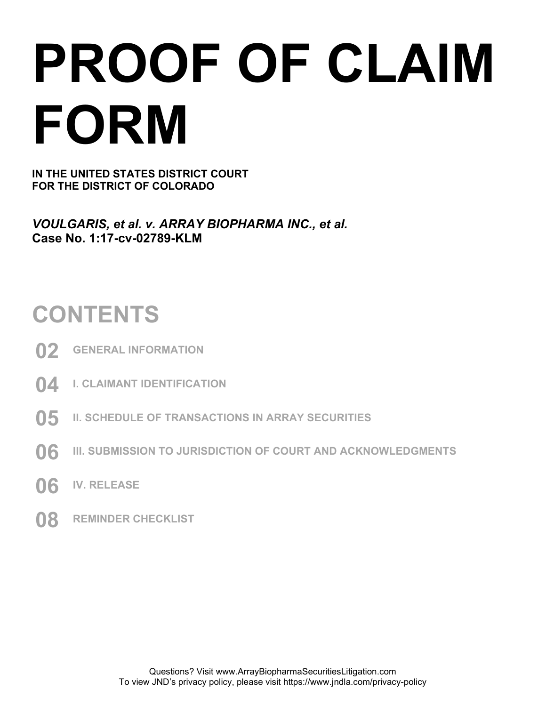# **PROOF OF CLAIM FORM**

**IN THE UNITED STATES DISTRICT COURT FOR THE DISTRICT OF COLORADO** 

*VOULGARIS, et al. v. ARRAY BIOPHARMA INC., et al.*  **Case No. 1:17-cv-02789-KLM** 

### **CONTENTS**

- **02 GENERAL INFORMATION**
- **04 I. CLAIMANT IDENTIFICATION**
- **05 II. SCHEDULE OF TRANSACTIONS IN ARRAY SECURITIES**
- **06 III. SUBMISSION TO JURISDICTION OF COURT AND ACKNOWLEDGMENTS**
- **06 IV. RELEASE**
- **08 REMINDER CHECKLIST**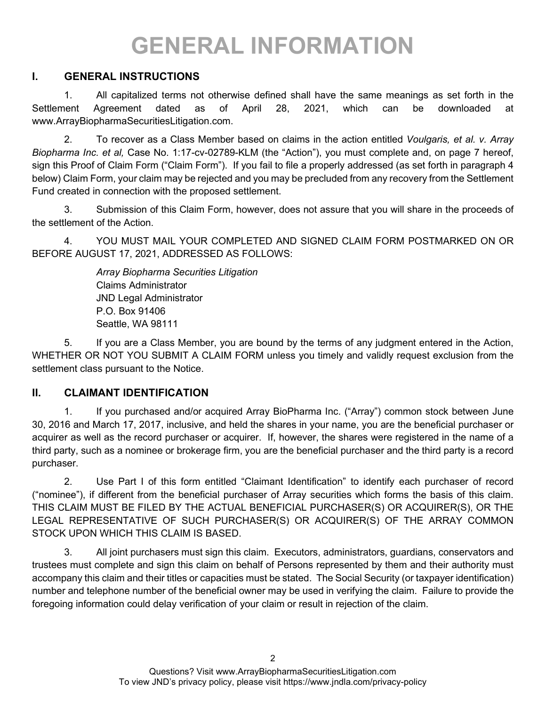## **GENERAL INFORMATION**

#### **I. GENERAL INSTRUCTIONS**

1. All capitalized terms not otherwise defined shall have the same meanings as set forth in the Settlement Agreement dated as of April 28, 2021, which can be downloaded at www.ArrayBiopharmaSecuritiesLitigation.com.

2. To recover as a Class Member based on claims in the action entitled *Voulgaris, et al. v. Array Biopharma Inc. et al,* Case No. 1:17-cv-02789-KLM (the "Action"), you must complete and, on page 7 hereof, sign this Proof of Claim Form ("Claim Form"). If you fail to file a properly addressed (as set forth in paragraph 4 below) Claim Form, your claim may be rejected and you may be precluded from any recovery from the Settlement Fund created in connection with the proposed settlement.

3. Submission of this Claim Form, however, does not assure that you will share in the proceeds of the settlement of the Action.

4. YOU MUST MAIL YOUR COMPLETED AND SIGNED CLAIM FORM POSTMARKED ON OR BEFORE AUGUST 17, 2021, ADDRESSED AS FOLLOWS:

> *Array Biopharma Securities Litigation* Claims Administrator JND Legal Administrator P.O. Box 91406 Seattle, WA 98111

5. If you are a Class Member, you are bound by the terms of any judgment entered in the Action, WHETHER OR NOT YOU SUBMIT A CLAIM FORM unless you timely and validly request exclusion from the settlement class pursuant to the Notice.

#### **II. CLAIMANT IDENTIFICATION**

1. If you purchased and/or acquired Array BioPharma Inc. ("Array") common stock between June 30, 2016 and March 17, 2017, inclusive, and held the shares in your name, you are the beneficial purchaser or acquirer as well as the record purchaser or acquirer. If, however, the shares were registered in the name of a third party, such as a nominee or brokerage firm, you are the beneficial purchaser and the third party is a record purchaser.

2. Use Part I of this form entitled "Claimant Identification" to identify each purchaser of record ("nominee"), if different from the beneficial purchaser of Array securities which forms the basis of this claim. THIS CLAIM MUST BE FILED BY THE ACTUAL BENEFICIAL PURCHASER(S) OR ACQUIRER(S), OR THE LEGAL REPRESENTATIVE OF SUCH PURCHASER(S) OR ACQUIRER(S) OF THE ARRAY COMMON STOCK UPON WHICH THIS CLAIM IS BASED.

3. All joint purchasers must sign this claim. Executors, administrators, guardians, conservators and trustees must complete and sign this claim on behalf of Persons represented by them and their authority must accompany this claim and their titles or capacities must be stated. The Social Security (or taxpayer identification) number and telephone number of the beneficial owner may be used in verifying the claim. Failure to provide the foregoing information could delay verification of your claim or result in rejection of the claim.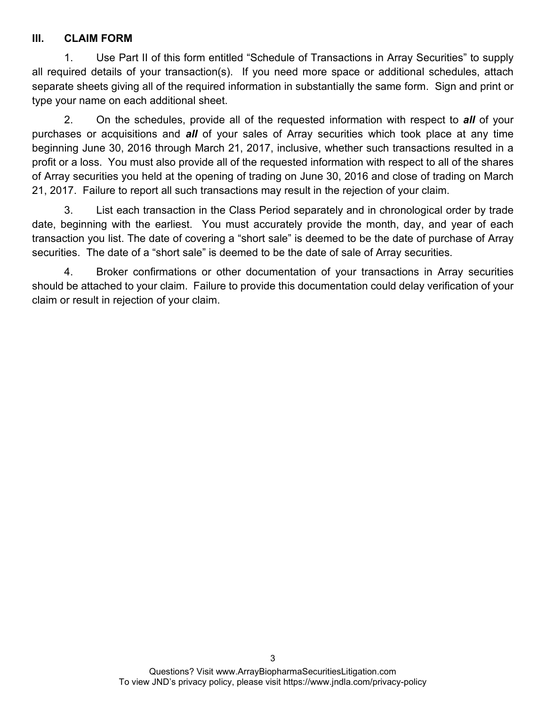#### **III. CLAIM FORM**

1. Use Part II of this form entitled "Schedule of Transactions in Array Securities" to supply all required details of your transaction(s). If you need more space or additional schedules, attach separate sheets giving all of the required information in substantially the same form. Sign and print or type your name on each additional sheet.

2. On the schedules, provide all of the requested information with respect to *all* of your purchases or acquisitions and *all* of your sales of Array securities which took place at any time beginning June 30, 2016 through March 21, 2017, inclusive, whether such transactions resulted in a profit or a loss. You must also provide all of the requested information with respect to all of the shares of Array securities you held at the opening of trading on June 30, 2016 and close of trading on March 21, 2017. Failure to report all such transactions may result in the rejection of your claim.

3. List each transaction in the Class Period separately and in chronological order by trade date, beginning with the earliest. You must accurately provide the month, day, and year of each transaction you list. The date of covering a "short sale" is deemed to be the date of purchase of Array securities. The date of a "short sale" is deemed to be the date of sale of Array securities.

4. Broker confirmations or other documentation of your transactions in Array securities should be attached to your claim. Failure to provide this documentation could delay verification of your claim or result in rejection of your claim.

3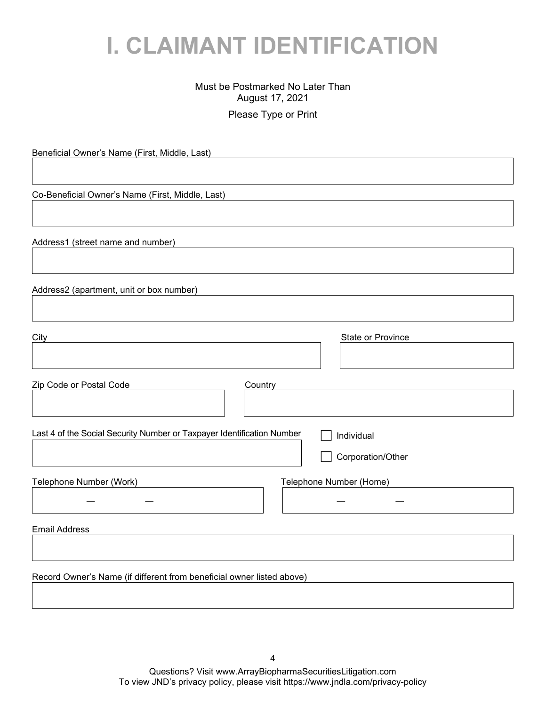### **I. CLAIMANT IDENTIFICATION**

#### Must be Postmarked No Later Than August 17, 2021

Please Type or Print

Beneficial Owner's Name (First, Middle, Last) Co-Beneficial Owner's Name (First, Middle, Last) Address1 (street name and number) Address2 (apartment, unit or box number) City **State or Province** Zip Code or Postal Code Country Last 4 of the Social Security Number or Taxpayer Identification Number  $\Box$  Individual Corporation/Other Telephone Number (Work) Telephone Number (Home) ― ― ― ― Email Address Record Owner's Name (if different from beneficial owner listed above)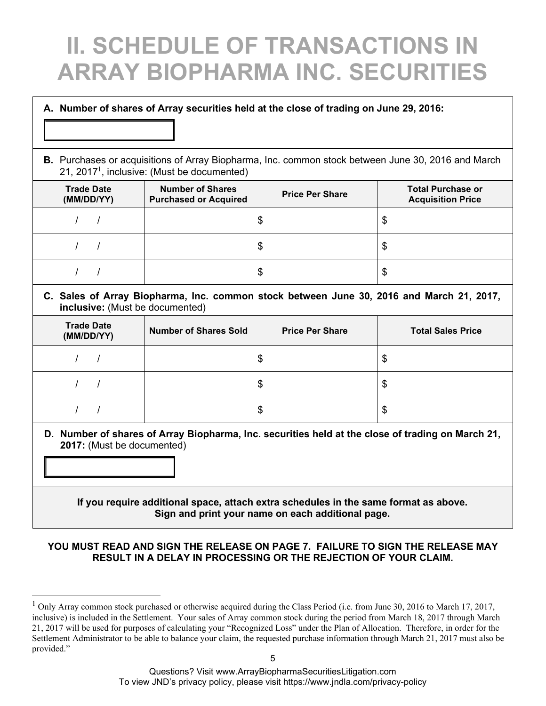## **II. SCHEDULE OF TRANSACTIONS IN ARRAY BIOPHARMA INC. SECURITIES**

#### **A. Number of shares of Array securities held at the close of trading on June 29, 2016:**

#### **B.** Purchases or acquisitions of Array Biopharma, Inc. common stock between June 30, 2016 and March 21, 2017<sup>1</sup>, inclusive: (Must be documented)

| <b>Trade Date</b><br>(MM/DD/YY) | <b>Number of Shares</b><br><b>Purchased or Acquired</b> | <b>Price Per Share</b> | <b>Total Purchase or</b><br><b>Acquisition Price</b> |
|---------------------------------|---------------------------------------------------------|------------------------|------------------------------------------------------|
|                                 |                                                         |                        | \$                                                   |
|                                 |                                                         |                        | \$                                                   |
|                                 |                                                         | Œ                      | \$                                                   |

#### **C. Sales of Array Biopharma, Inc. common stock between June 30, 2016 and March 21, 2017, inclusive:** (Must be documented)

| <b>Trade Date</b><br>(MM/DD/YY) | <b>Number of Shares Sold</b> | <b>Price Per Share</b> | <b>Total Sales Price</b> |
|---------------------------------|------------------------------|------------------------|--------------------------|
|                                 |                              | \$                     | Φ                        |
|                                 |                              | \$                     | ง                        |
|                                 |                              | \$                     | w                        |

**D. Number of shares of Array Biopharma, Inc. securities held at the close of trading on March 21, 2017:** (Must be documented)

#### **If you require additional space, attach extra schedules in the same format as above. Sign and print your name on each additional page.**

#### **YOU MUST READ AND SIGN THE RELEASE ON PAGE 7. FAILURE TO SIGN THE RELEASE MAY RESULT IN A DELAY IN PROCESSING OR THE REJECTION OF YOUR CLAIM.**

Questions? Visit www.ArrayBiopharmaSecuritiesLitigation.com To view JND's privacy policy, please visit https://www.jndla.com/privacy-policy

 $1$  Only Array common stock purchased or otherwise acquired during the Class Period (i.e. from June 30, 2016 to March 17, 2017, inclusive) is included in the Settlement. Your sales of Array common stock during the period from March 18, 2017 through March 21, 2017 will be used for purposes of calculating your "Recognized Loss" under the Plan of Allocation. Therefore, in order for the Settlement Administrator to be able to balance your claim, the requested purchase information through March 21, 2017 must also be provided."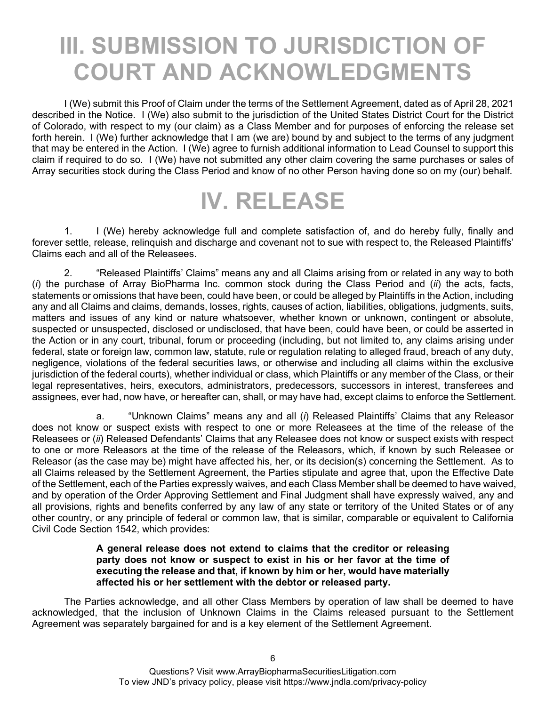### **III. SUBMISSION TO JURISDICTION OF COURT AND ACKNOWLEDGMENTS**

I (We) submit this Proof of Claim under the terms of the Settlement Agreement, dated as of April 28, 2021 described in the Notice. I (We) also submit to the jurisdiction of the United States District Court for the District of Colorado, with respect to my (our claim) as a Class Member and for purposes of enforcing the release set forth herein. I (We) further acknowledge that I am (we are) bound by and subject to the terms of any judgment that may be entered in the Action. I (We) agree to furnish additional information to Lead Counsel to support this claim if required to do so. I (We) have not submitted any other claim covering the same purchases or sales of Array securities stock during the Class Period and know of no other Person having done so on my (our) behalf.

### **IV. RELEASE**

1. I (We) hereby acknowledge full and complete satisfaction of, and do hereby fully, finally and forever settle, release, relinquish and discharge and covenant not to sue with respect to, the Released Plaintiffs' Claims each and all of the Releasees.

2. "Released Plaintiffs' Claims" means any and all Claims arising from or related in any way to both (*i*) the purchase of Array BioPharma Inc. common stock during the Class Period and (*ii*) the acts, facts, statements or omissions that have been, could have been, or could be alleged by Plaintiffs in the Action, including any and all Claims and claims, demands, losses, rights, causes of action, liabilities, obligations, judgments, suits, matters and issues of any kind or nature whatsoever, whether known or unknown, contingent or absolute, suspected or unsuspected, disclosed or undisclosed, that have been, could have been, or could be asserted in the Action or in any court, tribunal, forum or proceeding (including, but not limited to, any claims arising under federal, state or foreign law, common law, statute, rule or regulation relating to alleged fraud, breach of any duty, negligence, violations of the federal securities laws, or otherwise and including all claims within the exclusive jurisdiction of the federal courts), whether individual or class, which Plaintiffs or any member of the Class, or their legal representatives, heirs, executors, administrators, predecessors, successors in interest, transferees and assignees, ever had, now have, or hereafter can, shall, or may have had, except claims to enforce the Settlement.

a. "Unknown Claims" means any and all (*i*) Released Plaintiffs' Claims that any Releasor does not know or suspect exists with respect to one or more Releasees at the time of the release of the Releasees or (*ii*) Released Defendants' Claims that any Releasee does not know or suspect exists with respect to one or more Releasors at the time of the release of the Releasors, which, if known by such Releasee or Releasor (as the case may be) might have affected his, her, or its decision(s) concerning the Settlement. As to all Claims released by the Settlement Agreement, the Parties stipulate and agree that, upon the Effective Date of the Settlement, each of the Parties expressly waives, and each Class Member shall be deemed to have waived, and by operation of the Order Approving Settlement and Final Judgment shall have expressly waived, any and all provisions, rights and benefits conferred by any law of any state or territory of the United States or of any other country, or any principle of federal or common law, that is similar, comparable or equivalent to California Civil Code Section 1542, which provides:

#### **A general release does not extend to claims that the creditor or releasing party does not know or suspect to exist in his or her favor at the time of executing the release and that, if known by him or her, would have materially affected his or her settlement with the debtor or released party.**

The Parties acknowledge, and all other Class Members by operation of law shall be deemed to have acknowledged, that the inclusion of Unknown Claims in the Claims released pursuant to the Settlement Agreement was separately bargained for and is a key element of the Settlement Agreement.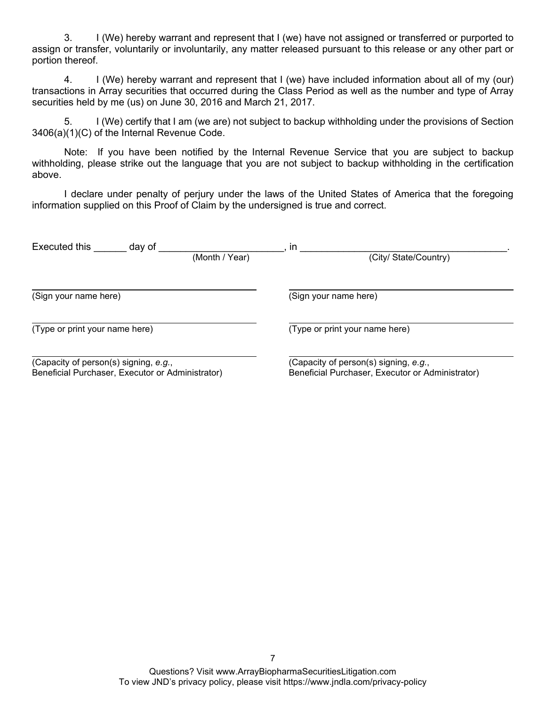3. I (We) hereby warrant and represent that I (we) have not assigned or transferred or purported to assign or transfer, voluntarily or involuntarily, any matter released pursuant to this release or any other part or portion thereof.

4. I (We) hereby warrant and represent that I (we) have included information about all of my (our) transactions in Array securities that occurred during the Class Period as well as the number and type of Array securities held by me (us) on June 30, 2016 and March 21, 2017.

5. I (We) certify that I am (we are) not subject to backup withholding under the provisions of Section 3406(a)(1)(C) of the Internal Revenue Code.

Note: If you have been notified by the Internal Revenue Service that you are subject to backup withholding, please strike out the language that you are not subject to backup withholding in the certification above.

I declare under penalty of perjury under the laws of the United States of America that the foregoing information supplied on this Proof of Claim by the undersigned is true and correct.

| Executed this                                    | day of |                | <i>in</i>                                        |  |  |
|--------------------------------------------------|--------|----------------|--------------------------------------------------|--|--|
|                                                  |        | (Month / Year) | (City/ State/Country)                            |  |  |
|                                                  |        |                |                                                  |  |  |
| (Sign your name here)                            |        |                | (Sign your name here)                            |  |  |
| (Type or print your name here)                   |        |                | (Type or print your name here)                   |  |  |
| (Capacity of person(s) signing, e.g.,            |        |                | (Capacity of person(s) signing, e.g.,            |  |  |
| Beneficial Purchaser, Executor or Administrator) |        |                | Beneficial Purchaser, Executor or Administrator) |  |  |